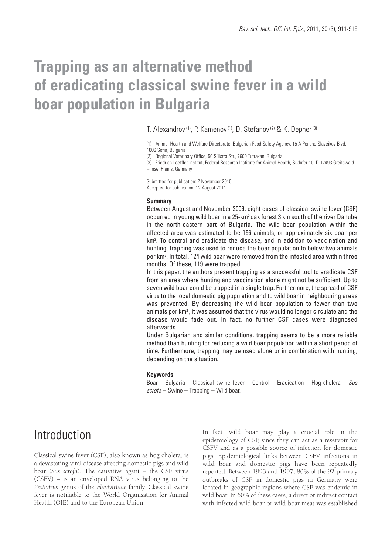# **Trapping as an alternative method of eradicating classical swine fever in a wild boar population in Bulgaria**

### T. Alexandrov<sup>(1)</sup>, P. Kamenov<sup>(1)</sup>, D. Stefanov<sup>(2)</sup> & K. Depner<sup>(3)</sup>

(1) Animal Health and Welfare Directorate, Bulgarian Food Safety Agency, 15 A Pencho Slaveikov Blvd, 1606 Sofia, Bulgaria

(2) Regional Veterinary Office, 50 Silistra Str., 7600 Tutrakan, Bulgaria

(3) Friedrich-Loeffler-Institut, Federal Research Institute for Animal Health, Südufer 10, D-17493 Greifswald – Insel Riems, Germany

Submitted for publication: 2 November 2010 Accepted for publication: 12 August 2011

#### **Summary**

Between August and November 2009, eight cases of classical swine fever (CSF) occurred in young wild boar in a 25-km2 oak forest 3 km south of the river Danube in the north-eastern part of Bulgaria. The wild boar population within the affected area was estimated to be 156 animals, or approximately six boar per km2 . To control and eradicate the disease, and in addition to vaccination and hunting, trapping was used to reduce the boar population to below two animals per km2 . In total, 124 wild boar were removed from the infected area within three months. Of these, 119 were trapped.

In this paper, the authors present trapping as a successful tool to eradicate CSF from an area where hunting and vaccination alone might not be sufficient. Up to seven wild boar could be trapped in a single trap. Furthermore, the spread of CSF virus to the local domestic pig population and to wild boar in neighbouring areas was prevented. By decreasing the wild boar population to fewer than two animals per km2 , it was assumed that the virus would no longer circulate and the disease would fade out. In fact, no further CSF cases were diagnosed afterwards.

Under Bulgarian and similar conditions, trapping seems to be a more reliable method than hunting for reducing a wild boar population within a short period of time. Furthermore, trapping may be used alone or in combination with hunting, depending on the situation.

#### **Keywords**

Boar – Bulgaria – Classical swine fever – Control – Eradication – Hog cholera – Sus  $scrofa$  – Swine – Trapping – Wild boar.

### Introduction

Classical swine fever (CSF), also known as hog cholera, is a devastating viral disease affecting domestic pigs and wild boar (*Sus scrofa*). The causative agent – the CSF virus (CSFV) – is an enveloped RNA virus belonging to the *Pestivirus* genus of the *Flaviviridae* family. Classical swine fever is notifiable to the World Organisation for Animal Health (OIE) and to the European Union.

In fact, wild boar may play a crucial role in the epidemiology of CSF, since they can act as a reservoir for CSFV and as a possible source of infection for domestic pigs. Epidemiological links between CSFV infections in wild boar and domestic pigs have been repeatedly reported. Between 1993 and 1997, 80% of the 92 primary outbreaks of CSF in domestic pigs in Germany were located in geographic regions where CSF was endemic in wild boar. In 60% of these cases, a direct or indirect contact with infected wild boar or wild boar meat was established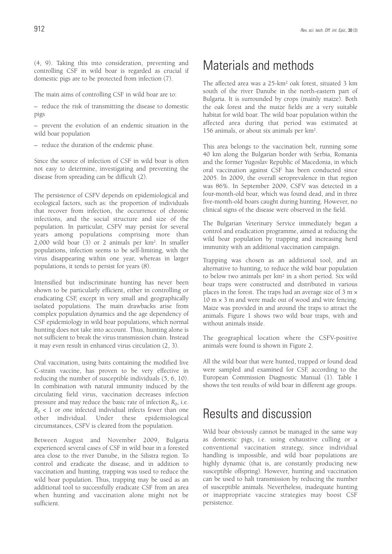(4, 9). Taking this into consideration, preventing and controlling CSF in wild boar is regarded as crucial if domestic pigs are to be protected from infection (7).

The main aims of controlling CSF in wild boar are to:

– reduce the risk of transmitting the disease to domestic pigs

– prevent the evolution of an endemic situation in the wild boar population

– reduce the duration of the endemic phase.

Since the source of infection of CSF in wild boar is often not easy to determine, investigating and preventing the disease from spreading can be difficult (2).

The persistence of CSFV depends on epidemiological and ecological factors, such as: the proportion of individuals that recover from infection, the occurrence of chronic infections, and the social structure and size of the population. In particular, CSFV may persist for several years among populations comprising more than 2,000 wild boar (3) or 2 animals per km2. In smaller populations, infection seems to be self-limiting, with the virus disappearing within one year, whereas in larger populations, it tends to persist for years (8).

Intensified but indiscriminate hunting has never been shown to be particularly efficient, either in controlling or eradicating CSF, except in very small and geographically isolated populations. The main drawbacks arise from complex population dynamics and the age dependency of CSF epidemiology in wild boar populations, which normal hunting does not take into account. Thus, hunting alone is not sufficient to break the virus transmission chain. Instead it may even result in enhanced virus circulation (2, 3).

Oral vaccination, using baits containing the modified live C-strain vaccine, has proven to be very effective in reducing the number of susceptible individuals (5, 6, 10). In combination with natural immunity induced by the circulating field virus, vaccination decreases infection pressure and may reduce the basic rate of infection *R*0, i.e.  $R_0$  < 1 or one infected individual infects fewer than one other individual. Under these epidemiological circumstances, CSFV is cleared from the population.

Between August and November 2009, Bulgaria experienced several cases of CSF in wild boar in a forested area close to the river Danube, in the Silistra region. To control and eradicate the disease, and in addition to vaccination and hunting, trapping was used to reduce the wild boar population. Thus, trapping may be used as an additional tool to successfully eradicate CSF from an area when hunting and vaccination alone might not be sufficient.

# Materials and methods

The affected area was a 25-km2 oak forest, situated 3 km south of the river Danube in the north-eastern part of Bulgaria. It is surrounded by crops (mainly maize). Both the oak forest and the maize fields are a very suitable habitat for wild boar. The wild boar population within the affected area during that period was estimated at 156 animals, or about six animals per km2.

This area belongs to the vaccination belt, running some 40 km along the Bulgarian border with Serbia, Romania and the former Yugoslav Republic of Macedonia, in which oral vaccination against CSF has been conducted since 2005. In 2009, the overall seroprevalence in that region was 86%. In September 2009, CSFV was detected in a four-month-old boar, which was found dead, and in three five-month-old boars caught during hunting. However, no clinical signs of the disease were observed in the field.

The Bulgarian Veterinary Service immediately began a control and eradication programme, aimed at reducing the wild boar population by trapping and increasing herd immunity with an additional vaccination campaign.

Trapping was chosen as an additional tool, and an alternative to hunting, to reduce the wild boar population to below two animals per km2 in a short period. Six wild boar traps were constructed and distributed in various places in the forest. The traps had an average size of 3 m ×  $10 \text{ m} \times 3 \text{ m}$  and were made out of wood and wire fencing. Maize was provided in and around the traps to attract the animals. Figure 1 shows two wild boar traps, with and without animals inside.

The geographical location where the CSFV-positive animals were found is shown in Figure 2.

All the wild boar that were hunted, trapped or found dead were sampled and examined for CSF, according to the European Commission Diagnostic Manual (1). Table I shows the test results of wild boar in different age groups.

### Results and discussion

Wild boar obviously cannot be managed in the same way as domestic pigs, i.e. using exhaustive culling or a conventional vaccination strategy, since individual handling is impossible, and wild boar populations are highly dynamic (that is, are constantly producing new susceptible offspring). However, hunting and vaccination can be used to halt transmission by reducing the number of susceptible animals. Nevertheless, inadequate hunting or inappropriate vaccine strategies may boost CSF persistence.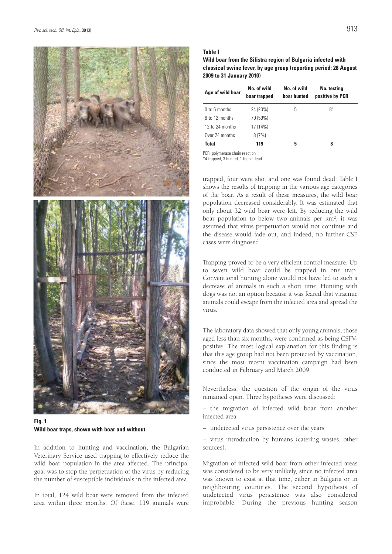

**Fig. 1 Wild boar traps, shown with boar and without**

In addition to hunting and vaccination, the Bulgarian Veterinary Service used trapping to effectively reduce the wild boar population in the area affected. The principal goal was to stop the perpetuation of the virus by reducing the number of susceptible individuals in the infected area.

In total, 124 wild boar were removed from the infected area within three months. Of these, 119 animals were

#### **Table I**

**Wild boar from the Silistra region of Bulgaria infected with classical swine fever, by age group (reporting period: 28 August 2009 to 31 January 2010)**

| Age of wild boar | No. of wild<br>boar trapped | No. of wild<br>boar hunted | No. testing<br>positive by PCR |
|------------------|-----------------------------|----------------------------|--------------------------------|
| 0 to 6 months    | 24 (20%)                    | 5                          | 8*                             |
| 6 to 12 months   | 70 (59%)                    |                            |                                |
| 12 to 24 months  | 17 (14%)                    |                            |                                |
| Over 24 months   | 8(7%)                       |                            |                                |
| <b>Total</b>     | 119                         | 5                          | 8                              |

PCR: polymerase chain reaction \*4 trapped, 3 hunted, 1 found dead

trapped, four were shot and one was found dead. Table I shows the results of trapping in the various age categories of the boar. As a result of these measures, the wild boar population decreased considerably. It was estimated that only about 32 wild boar were left. By reducing the wild boar population to below two animals per km2, it was assumed that virus perpetuation would not continue and the disease would fade out, and indeed, no further CSF cases were diagnosed.

Trapping proved to be a very efficient control measure. Up to seven wild boar could be trapped in one trap. Conventional hunting alone would not have led to such a decrease of animals in such a short time. Hunting with dogs was not an option because it was feared that viraemic animals could escape from the infected area and spread the virus.

The laboratory data showed that only young animals, those aged less than six months, were confirmed as being CSFVpositive. The most logical explanation for this finding is that this age group had not been protected by vaccination, since the most recent vaccination campaign had been conducted in February and March 2009.

Nevertheless, the question of the origin of the virus remained open. Three hypotheses were discussed:

– the migration of infected wild boar from another infected area

– undetected virus persistence over the years

– virus introduction by humans (catering wastes, other sources).

Migration of infected wild boar from other infected areas was considered to be very unlikely, since no infected area was known to exist at that time, either in Bulgaria or in neighbouring countries. The second hypothesis of undetected virus persistence was also considered improbable. During the previous hunting season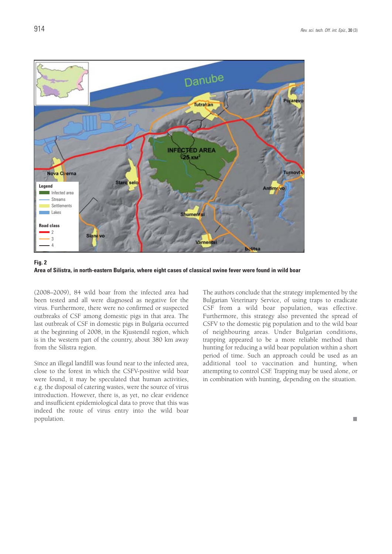

**Fig. 2 Area of Silistra, in north-eastern Bulgaria, where eight cases of classical swine fever were found in wild boar** 

(2008–2009), 84 wild boar from the infected area had been tested and all were diagnosed as negative for the virus. Furthermore, there were no confirmed or suspected outbreaks of CSF among domestic pigs in that area. The last outbreak of CSF in domestic pigs in Bulgaria occurred at the beginning of 2008, in the Kjustendil region, which is in the western part of the country, about 380 km away from the Silistra region.

Since an illegal landfill was found near to the infected area, close to the forest in which the CSFV-positive wild boar were found, it may be speculated that human activities, e.g. the disposal of catering wastes, were the source of virus introduction. However, there is, as yet, no clear evidence and insufficient epidemiological data to prove that this was indeed the route of virus entry into the wild boar population.

The authors conclude that the strategy implemented by the Bulgarian Veterinary Service, of using traps to eradicate CSF from a wild boar population, was effective. Furthermore, this strategy also prevented the spread of CSFV to the domestic pig population and to the wild boar of neighbouring areas. Under Bulgarian conditions, trapping appeared to be a more reliable method than hunting for reducing a wild boar population within a short period of time. Such an approach could be used as an additional tool to vaccination and hunting, when attempting to control CSF. Trapping may be used alone, or in combination with hunting, depending on the situation.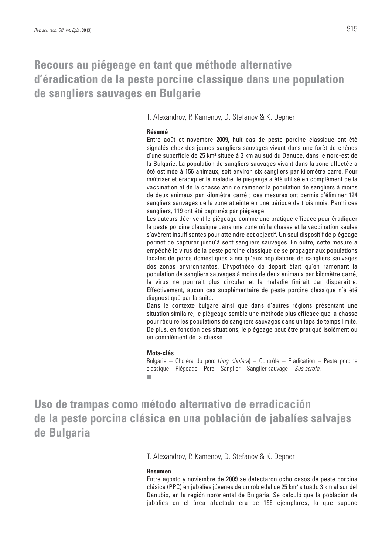### **Recours au piégeage en tant que méthode alternative d'éradication de la peste porcine classique dans une population de sangliers sauvages en Bulgarie**

T. Alexandrov, P. Kamenov, D. Stefanov & K. Depner

### **Résumé**

Entre août et novembre 2009, huit cas de peste porcine classique ont été signalés chez des jeunes sangliers sauvages vivant dans une forêt de chênes d'une superficie de 25 km² située à 3 km au sud du Danube, dans le nord-est de la Bulgarie. La population de sangliers sauvages vivant dans la zone affectée a été estimée à 156 animaux, soit environ six sangliers par kilomètre carré. Pour maîtriser et éradiquer la maladie, le piégeage a été utilisé en complément de la vaccination et de la chasse afin de ramener la population de sangliers à moins de deux animaux par kilomètre carré ; ces mesures ont permis d'éliminer 124 sangliers sauvages de la zone atteinte en une période de trois mois. Parmi ces sangliers, 119 ont été capturés par piégeage.

Les auteurs décrivent le piégeage comme une pratique efficace pour éradiquer la peste porcine classique dans une zone où la chasse et la vaccination seules s'avèrent insuffisantes pour atteindre cet objectif. Un seul dispositif de piégeage permet de capturer jusqu'à sept sangliers sauvages. En outre, cette mesure a empêché le virus de la peste porcine classique de se propager aux populations locales de porcs domestiques ainsi qu'aux populations de sangliers sauvages des zones environnantes. L'hypothèse de départ était qu'en ramenant la population de sangliers sauvages à moins de deux animaux par kilomètre carré, le virus ne pourrait plus circuler et la maladie finirait par disparaître. Effectivement, aucun cas supplémentaire de peste porcine classique n'a été diagnostiqué par la suite.

Dans le contexte bulgare ainsi que dans d'autres régions présentant une situation similaire, le piégeage semble une méthode plus efficace que la chasse pour réduire les populations de sangliers sauvages dans un laps de temps limité. De plus, en fonction des situations, le piégeage peut être pratiqué isolément ou en complément de la chasse.

#### **Mots-clés**

Bulgarie – Choléra du porc (hog cholera) – Contrôle – Éradication – Peste porcine classique – Piégeage – Porc – Sanglier – Sanglier sauvage – Sus scrofa.

**Uso de trampas como método alternativo de erradicación de la peste porcina clásica en una población de jabalíes salvajes de Bulgaria**

T. Alexandrov, P. Kamenov, D. Stefanov & K. Depner

#### **Resumen**

Entre agosto y noviembre de 2009 se detectaron ocho casos de peste porcina clásica (PPC) en jabalíes jóvenes de un robledal de 25 km2 situado 3 km al sur del Danubio, en la región nororiental de Bulgaria. Se calculó que la población de jabalíes en el área afectada era de 156 ejemplares, lo que supone